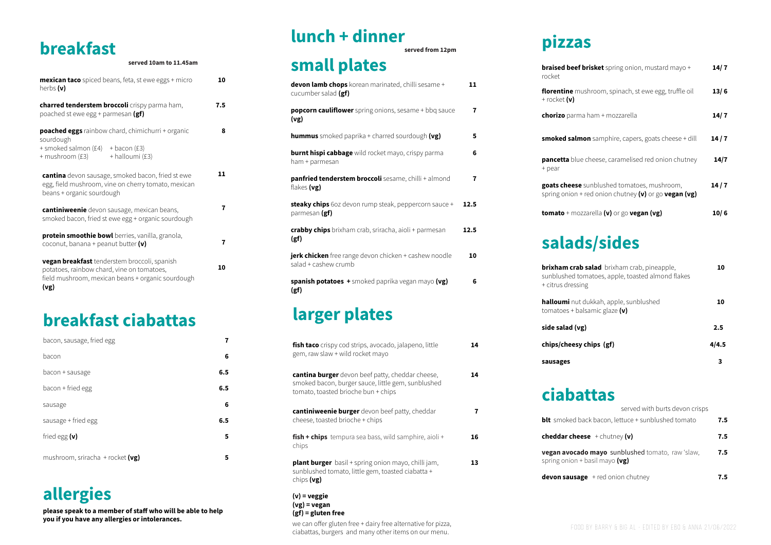# **breakfast**

### **served 10am to 11.45am**

| <b>mexican taco</b> spiced beans, feta, st ewe eggs + micro<br>herbs (v)                                                                                       | 10  |
|----------------------------------------------------------------------------------------------------------------------------------------------------------------|-----|
| charred tenderstem broccoli crispy parma ham,<br>poached st ewe egg + parmesan (gf)                                                                            | 7.5 |
| <b>poached eggs</b> rainbow chard, chimichurri + organic<br>sourdough<br>+ smoked salmon $(E4)$ + bacon $(E3)$<br>+ mushroom (£3) + halloumi (£3)              | 8   |
| <b>cantina</b> devon sausage, smoked bacon, fried st ewe<br>egg, field mushroom, vine on cherry tomato, mexican<br>beans + organic sourdough                   | 11  |
| cantiniweenie devon sausage, mexican beans,<br>smoked bacon, fried st ewe egg + organic sourdough                                                              | 7   |
| protein smoothie bowl berries, vanilla, granola,<br>coconut, banana + peanut butter (v)                                                                        | 7   |
| <b>vegan breakfast</b> tenderstem broccoli, spanish<br>potatoes, rainbow chard, vine on tomatoes,<br>field mushroom, mexican beans + organic sourdough<br>(vg) | 10  |

**braised beef b** rocket

florentine mus + rocket **(v)**

# **ciabattas**

**blt** smoked back **cheddar chee vegan avocad** spring onion +  $devon$  sausag

| served with burts devon crisps                           |     |
|----------------------------------------------------------|-----|
| ack bacon, lettuce + sunblushed tomato                   | 7.5 |
| $\mathsf{se}$ + chutney (v)                              | 7.5 |
| lo mayo sunblushed tomato, raw 'slaw,<br>basil mayo (vg) | 7.5 |
| $xe + red \text{ onion}$ chutney                         | 7.5 |

**pizzas**

| <b>braised beef brisket</b> spring onion, mustard mayo +<br>rocket                                       | 14/7 |
|----------------------------------------------------------------------------------------------------------|------|
| <b>florentine</b> mushroom, spinach, st ewe egg, truffle oil<br>$+$ rocket $(v)$                         | 13/6 |
| <b>chorizo</b> parma ham + mozzarella                                                                    | 14/7 |
| <b>smoked salmon</b> samphire, capers, goats cheese + dill                                               | 14/7 |
| <b>pancetta</b> blue cheese, caramelised red onion chutney<br>+ pear                                     | 14/7 |
| goats cheese sunblushed tomatoes, mushroom,<br>spring onion + red onion chutney $(v)$ or go vegan $(vg)$ | 14/7 |
| <b>tomato</b> + mozzarella ( $v$ ) or go <b>vegan (vg)</b>                                               | 10/6 |

## **larger plates**

# **lunch + dinner**

**served from 12pm**

### **small plates devon lamb chops** korean marinated, chilli sesame +

| fish taco crispy cod strips, avocado, jalapeno, little<br>gem, raw slaw + wild rocket mayo                                                    | 14 |  |
|-----------------------------------------------------------------------------------------------------------------------------------------------|----|--|
| cantina burger devon beef patty, cheddar cheese,<br>smoked bacon, burger sauce, little gem, sunblushed<br>tomato, toasted brioche bun + chips | 14 |  |
| cantiniweenie burger devon beef patty, cheddar<br>cheese, toasted brioche + chips                                                             | 7  |  |
| <b>fish + chips</b> tempura sea bass, wild samphire, aioli +<br>chips                                                                         | 16 |  |
| <b>plant burger</b> basil + spring onion mayo, chilli jam,<br>sunblushed tomato, little gem, toasted ciabatta +<br>chips (vg)                 | 13 |  |
| $(v)$ = veggie                                                                                                                                |    |  |

| cucumber salad (gf)                                                                  |      |
|--------------------------------------------------------------------------------------|------|
| <b>popcorn cauliflower</b> spring onions, sesame + bbq sauce<br>(vg)                 | 7    |
| <b>hummus</b> smoked paprika + charred sourdough (vg)                                | 5    |
| <b>burnt hispi cabbage</b> wild rocket mayo, crispy parma<br>ham + parmesan          | 6    |
| panfried tenderstem broccoli sesame, chilli + almond<br>flakes (vg)                  | 7    |
| <b>steaky chips</b> 60z devon rump steak, peppercorn sauce +<br>parmesan (gf)        | 12.5 |
| crabby chips brixham crab, sriracha, aioli + parmesan<br>(gf)                        | 12.5 |
| <b>jerk chicken</b> free range devon chicken + cashew noodle<br>salad + cashew crumb | 10   |
| <b>spanish potatoes +</b> smoked paprika vegan mayo (vg)<br>(gf)                     | 6    |

**11**

# **salads/sides**

| <b>brixham crab salad</b> brixham crab, pineapple,<br>sunblushed tomatoes, apple, toasted almond flakes<br>+ citrus dressing | 10    |
|------------------------------------------------------------------------------------------------------------------------------|-------|
| <b>halloumi</b> nut dukkah, apple, sunblushed<br>tomatoes + balsamic glaze $(v)$                                             | 10    |
| side salad (vg)                                                                                                              | 2.5   |
| chips/cheesy chips (gf)                                                                                                      | 4/4.5 |
| sausages                                                                                                                     |       |

## **breakfast ciabattas**

| bacon, sausage, fried egg        |     |  |
|----------------------------------|-----|--|
| bacon                            | 6   |  |
| bacon + sausage                  | 6.5 |  |
| bacon + fried egg                | 6.5 |  |
| sausage                          | 6   |  |
| sausage + fried egg              | 6.5 |  |
| fried egg $(v)$                  | 5   |  |
| mushroom, sriracha + rocket (vg) | 5   |  |

**(vg) = vegan (gf) = gluten free** we can offer gluten free + dairy free alternative for pizza,

# **allergies**

**please speak to a member of staff who will be able to help you if you have any allergies or intolerances.**